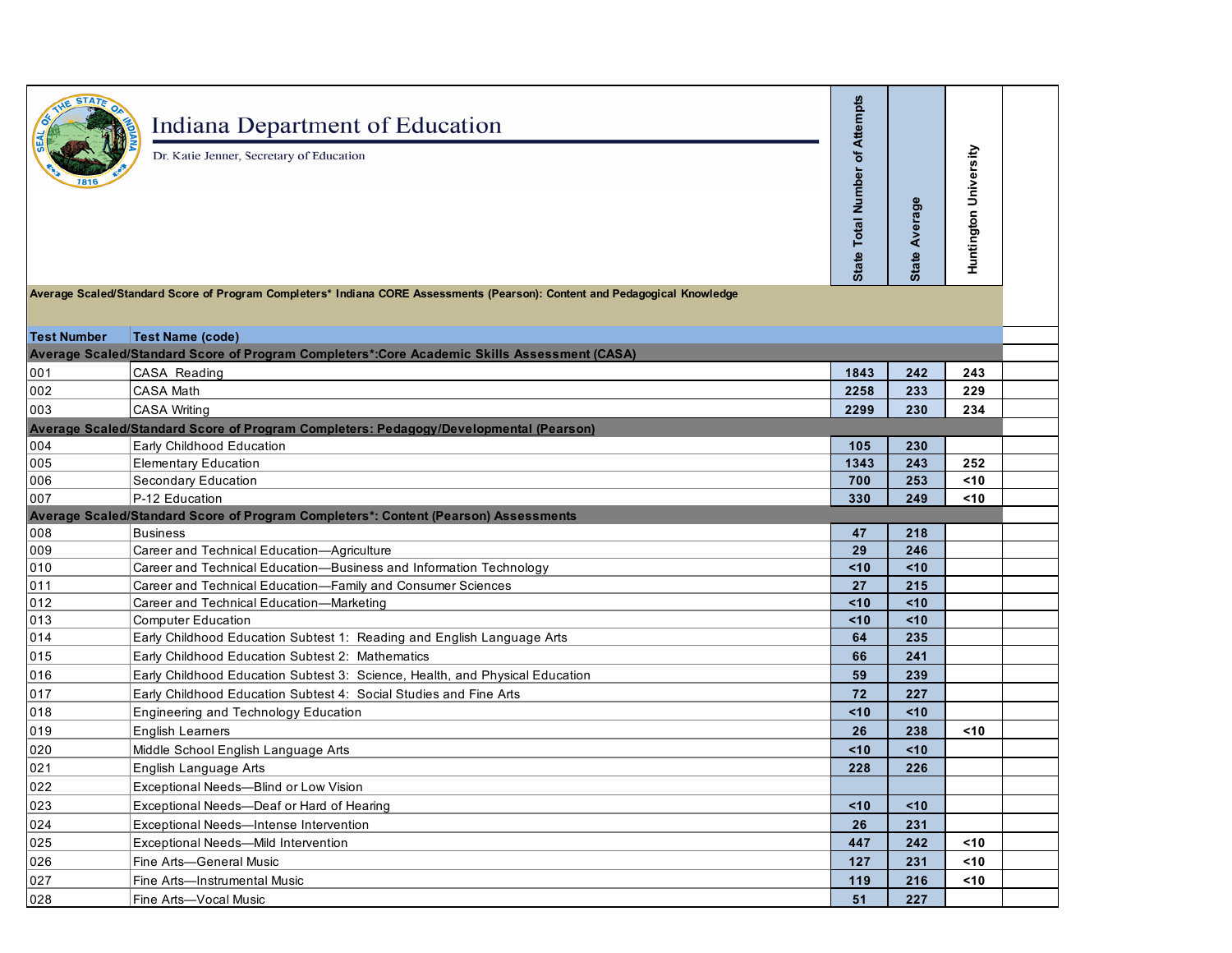|                    | Indiana Department of Education<br>Dr. Katie Jenner, Secretary of Education                                                | of Attempts<br><b>Total Number</b><br>State | <b>State Average</b> | Huntington University |  |
|--------------------|----------------------------------------------------------------------------------------------------------------------------|---------------------------------------------|----------------------|-----------------------|--|
|                    | Average Scaled/Standard Score of Program Completers* Indiana CORE Assessments (Pearson): Content and Pedagogical Knowledge |                                             |                      |                       |  |
| <b>Test Number</b> | <b>Test Name (code)</b>                                                                                                    |                                             |                      |                       |  |
|                    | Average Scaled/Standard Score of Program Completers*:Core Academic Skills Assessment (CASA)                                |                                             |                      |                       |  |
| 001                | CASA Reading                                                                                                               | 1843                                        | 242                  | 243                   |  |
| 002                | <b>CASA Math</b>                                                                                                           | 2258                                        | 233                  | 229                   |  |
| 003                | <b>CASA Writing</b>                                                                                                        | 2299                                        | 230                  | 234                   |  |
|                    | Average Scaled/Standard Score of Program Completers: Pedagogy/Developmental (Pearson)                                      |                                             |                      |                       |  |
| 004                | Early Childhood Education                                                                                                  | 105                                         | 230                  |                       |  |
| 005                | <b>Elementary Education</b>                                                                                                | 1343                                        | 243                  | 252                   |  |
| 006                | Secondary Education                                                                                                        | 700                                         | 253                  | $10$                  |  |
| 007                | P-12 Education                                                                                                             | 330                                         | 249                  | $10$                  |  |
|                    | Average Scaled/Standard Score of Program Completers*: Content (Pearson) Assessments                                        |                                             |                      |                       |  |
| $\frac{008}{009}$  | <b>Business</b>                                                                                                            | 47                                          | 218                  |                       |  |
|                    | Career and Technical Education-Agriculture                                                                                 | 29                                          | 246                  |                       |  |
| 010                | Career and Technical Education-Business and Information Technology                                                         | <10                                         | <10                  |                       |  |
| 011                | Career and Technical Education-Family and Consumer Sciences                                                                | 27                                          | 215                  |                       |  |
| 012                | Career and Technical Education-Marketing                                                                                   | <10                                         | < 10                 |                       |  |
| 013                | <b>Computer Education</b>                                                                                                  | <10                                         | < 10                 |                       |  |
| 014                | Early Childhood Education Subtest 1: Reading and English Language Arts                                                     | 64                                          | 235                  |                       |  |
| 015                | Early Childhood Education Subtest 2: Mathematics                                                                           | 66                                          | 241                  |                       |  |
| 016                | Early Childhood Education Subtest 3: Science, Health, and Physical Education                                               | 59                                          | 239                  |                       |  |
| 017                | Early Childhood Education Subtest 4: Social Studies and Fine Arts                                                          | 72                                          | 227                  |                       |  |
| 018                | Engineering and Technology Education                                                                                       | <10                                         | <10                  |                       |  |
| 019                | <b>English Learners</b>                                                                                                    | 26                                          | 238                  | $10$                  |  |
| 020                | Middle School English Language Arts                                                                                        | <10                                         | <10                  |                       |  |
| 021                | English Language Arts                                                                                                      | 228                                         | 226                  |                       |  |
| 022                | Exceptional Needs-Blind or Low Vision                                                                                      |                                             |                      |                       |  |
| 023                | Exceptional Needs-Deaf or Hard of Hearing                                                                                  | <10                                         | <10                  |                       |  |
| 024                | Exceptional Needs-Intense Intervention                                                                                     | 26                                          | 231                  |                       |  |
| 025                | Exceptional Needs-Mild Intervention                                                                                        | 447                                         | 242                  | $10$                  |  |
| 026                | Fine Arts-General Music                                                                                                    | 127                                         | 231                  | <10                   |  |
| 027                | Fine Arts-Instrumental Music                                                                                               | 119                                         | 216                  | $10$                  |  |
| 028                | Fine Arts-Vocal Music                                                                                                      | 51                                          | 227                  |                       |  |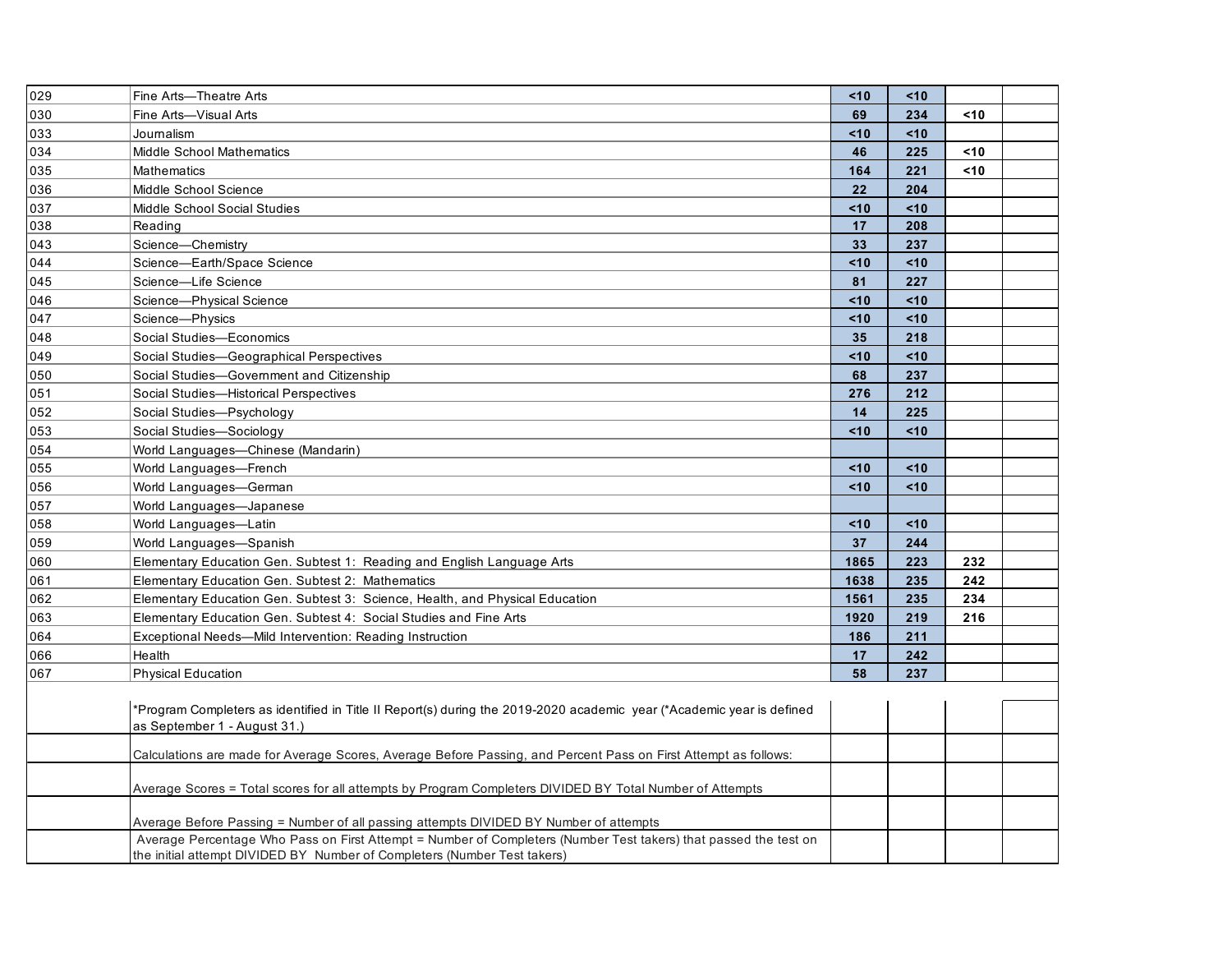| 029 | Fine Arts-Theatre Arts                                                                                                                                | < 10 | 10<  |      |  |
|-----|-------------------------------------------------------------------------------------------------------------------------------------------------------|------|------|------|--|
| 030 | Fine Arts-Visual Arts                                                                                                                                 | 69   | 234  | $10$ |  |
| 033 | Journalism                                                                                                                                            | < 10 | < 10 |      |  |
| 034 | <b>Middle School Mathematics</b>                                                                                                                      | 46   | 225  | $10$ |  |
| 035 | <b>Mathematics</b>                                                                                                                                    | 164  | 221  | <10  |  |
| 036 | Middle School Science                                                                                                                                 | 22   | 204  |      |  |
| 037 | Middle School Social Studies                                                                                                                          | < 10 | <10  |      |  |
| 038 | Reading                                                                                                                                               | 17   | 208  |      |  |
| 043 | Science-Chemistry                                                                                                                                     | 33   | 237  |      |  |
| 044 | Science-Earth/Space Science                                                                                                                           | <10  | <10  |      |  |
| 045 | Science-Life Science                                                                                                                                  | 81   | 227  |      |  |
| 046 | Science-Physical Science                                                                                                                              | < 10 | < 10 |      |  |
| 047 | Science-Physics                                                                                                                                       | < 10 | <10  |      |  |
| 048 | Social Studies-Economics                                                                                                                              | 35   | 218  |      |  |
| 049 | Social Studies-Geographical Perspectives                                                                                                              | $10$ | < 10 |      |  |
| 050 | Social Studies-Government and Citizenship                                                                                                             | 68   | 237  |      |  |
| 051 | Social Studies-Historical Perspectives                                                                                                                | 276  | 212  |      |  |
| 052 | Social Studies-Psychology                                                                                                                             | 14   | 225  |      |  |
| 053 | Social Studies-Sociology                                                                                                                              | $10$ | <10  |      |  |
| 054 | World Languages-Chinese (Mandarin)                                                                                                                    |      |      |      |  |
| 055 | World Languages-French                                                                                                                                | < 10 | <10  |      |  |
| 056 | World Languages-German                                                                                                                                | < 10 | <10  |      |  |
| 057 | World Languages-Japanese                                                                                                                              |      |      |      |  |
| 058 | World Languages-Latin                                                                                                                                 | $10$ | < 10 |      |  |
| 059 | World Languages-Spanish                                                                                                                               | 37   | 244  |      |  |
| 060 | Elementary Education Gen. Subtest 1: Reading and English Language Arts                                                                                | 1865 | 223  | 232  |  |
| 061 | Elementary Education Gen. Subtest 2: Mathematics                                                                                                      | 1638 | 235  | 242  |  |
| 062 | Elementary Education Gen. Subtest 3: Science, Health, and Physical Education                                                                          | 1561 | 235  | 234  |  |
| 063 | Elementary Education Gen. Subtest 4: Social Studies and Fine Arts                                                                                     | 1920 | 219  | 216  |  |
| 064 | Exceptional Needs-Mild Intervention: Reading Instruction                                                                                              | 186  | 211  |      |  |
| 066 | Health                                                                                                                                                | 17   | 242  |      |  |
| 067 | <b>Physical Education</b>                                                                                                                             | 58   | 237  |      |  |
|     | *Program Completers as identified in Title II Report(s) during the 2019-2020 academic year (*Academic year is defined<br>as September 1 - August 31.) |      |      |      |  |
|     | Calculations are made for Average Scores, Average Before Passing, and Percent Pass on First Attempt as follows:                                       |      |      |      |  |
|     | Average Scores = Total scores for all attempts by Program Completers DIVIDED BY Total Number of Attempts                                              |      |      |      |  |
|     | Average Before Passing = Number of all passing attempts DIVIDED BY Number of attempts                                                                 |      |      |      |  |
|     | Average Percentage Who Pass on First Attempt = Number of Completers (Number Test takers) that passed the test on                                      |      |      |      |  |
|     | the initial attempt DIVIDED BY Number of Completers (Number Test takers)                                                                              |      |      |      |  |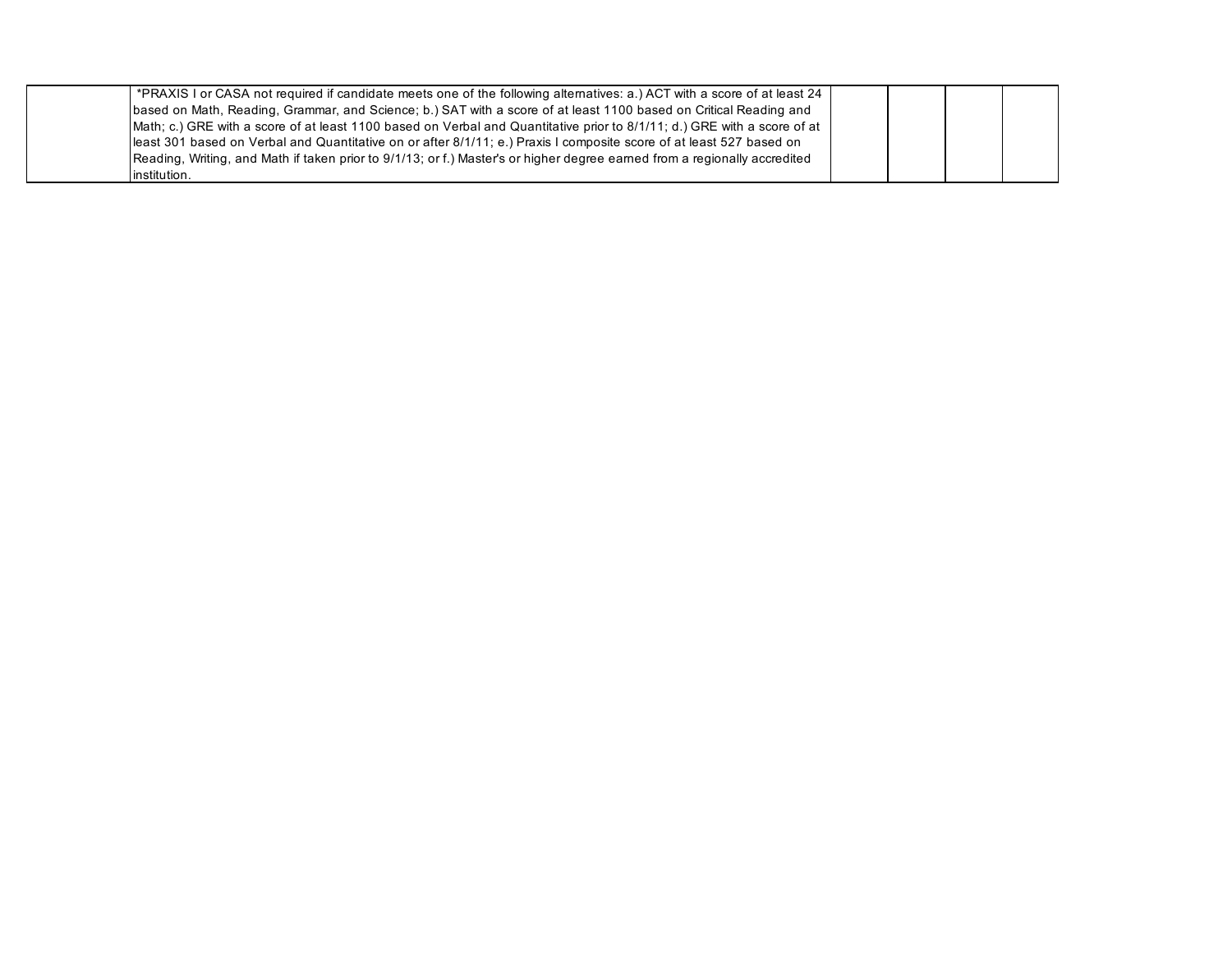| *PRAXIS I or CASA not required if candidate meets one of the following alternatives: a.) ACT with a score of at least 24 |  |  |
|--------------------------------------------------------------------------------------------------------------------------|--|--|
| based on Math, Reading, Grammar, and Science; b.) SAT with a score of at least 1100 based on Critical Reading and        |  |  |
| Math; c.) GRE with a score of at least 1100 based on Verbal and Quantitative prior to 8/1/11; d.) GRE with a score of at |  |  |
| least 301 based on Verbal and Quantitative on or after 8/1/11; e.) Praxis I composite score of at least 527 based on     |  |  |
| Reading, Writing, and Math if taken prior to 9/1/13; or f.) Master's or higher degree eamed from a regionally accredited |  |  |
| institution.                                                                                                             |  |  |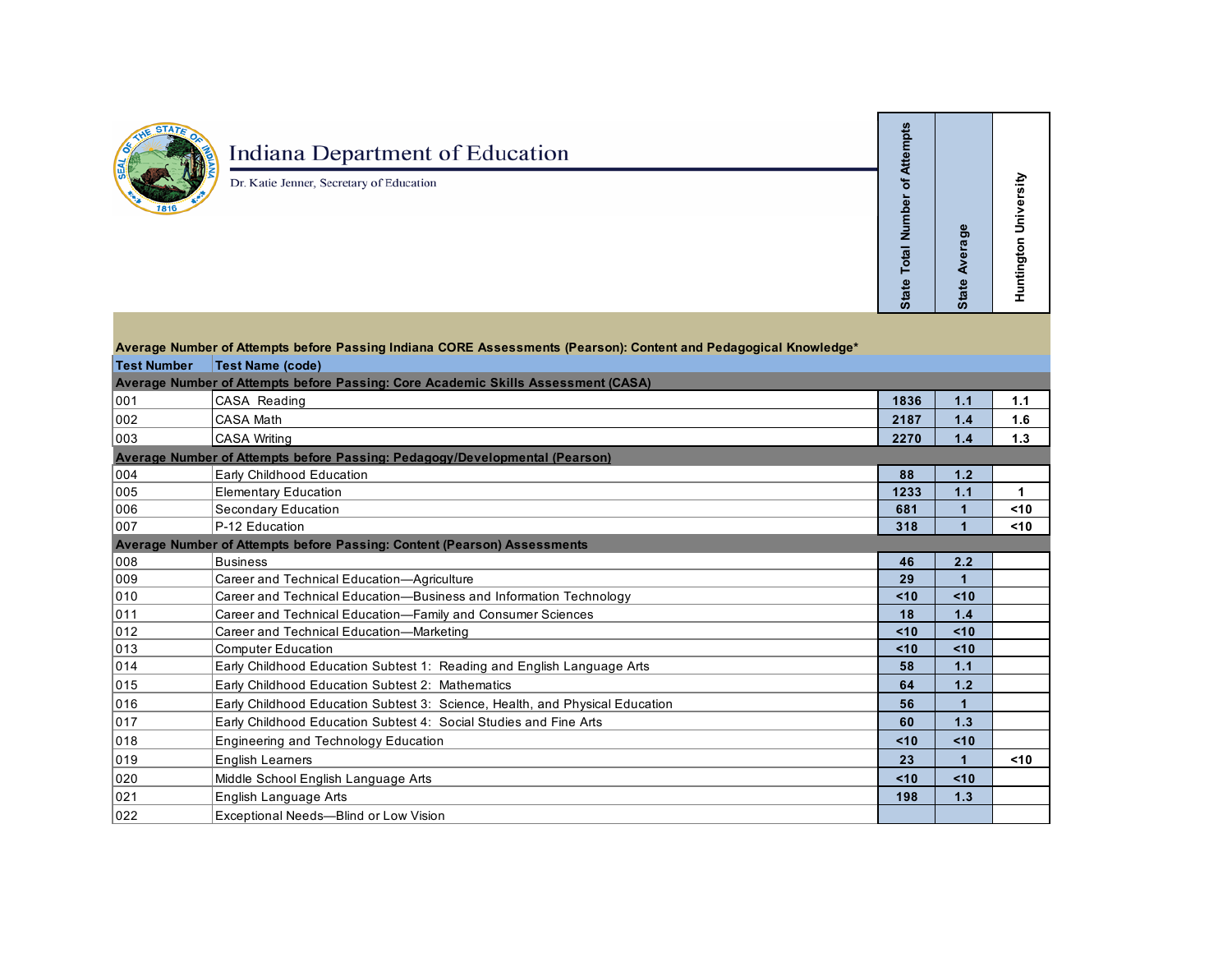

## **Indiana Department of Education**

Dr. Katie Jenner, Secretary of Education

State Average **State Average** 

 **Huntington University**

**Huntington University** 

**State Total Number of Attempts**

State Total Number of Attempts

|                    | Average Number of Attempts before Passing Indiana CORE Assessments (Pearson): Content and Pedagogical Knowledge* |      |                      |      |
|--------------------|------------------------------------------------------------------------------------------------------------------|------|----------------------|------|
| <b>Test Number</b> | <b>Test Name (code)</b>                                                                                          |      |                      |      |
|                    | Average Number of Attempts before Passing: Core Academic Skills Assessment (CASA)                                |      |                      |      |
| 001                | CASA Reading                                                                                                     | 1836 | 1.1                  | 1.1  |
| 002                | <b>CASA Math</b>                                                                                                 | 2187 | 1.4                  | 1.6  |
| 003                | <b>CASA Writing</b>                                                                                              | 2270 | 1.4                  | 1.3  |
|                    | Average Number of Attempts before Passing: Pedagogy/Developmental (Pearson)                                      |      |                      |      |
| 004                | Early Childhood Education                                                                                        | 88   | 1.2                  |      |
| 005                | <b>Elementary Education</b>                                                                                      | 1233 | 1.1                  | 1    |
| 006                | Secondary Education                                                                                              | 681  |                      | $10$ |
| 007                | P-12 Education                                                                                                   | 318  | $\overline{1}$       | <10  |
|                    | Average Number of Attempts before Passing: Content (Pearson) Assessments                                         |      |                      |      |
| 008                | <b>Business</b>                                                                                                  | 46   | 2.2                  |      |
| 009                | Career and Technical Education-Agriculture                                                                       | 29   | $\blacktriangleleft$ |      |
| 010                | Career and Technical Education-Business and Information Technology                                               | < 10 | < 10                 |      |
| 011                | Career and Technical Education-Family and Consumer Sciences                                                      | 18   | 1.4                  |      |
| 012                | Career and Technical Education-Marketing                                                                         | < 10 | < 10                 |      |
| 013                | <b>Computer Education</b>                                                                                        | < 10 | < 10                 |      |
| 014                | Early Childhood Education Subtest 1: Reading and English Language Arts                                           | 58   | 1.1                  |      |
| 015                | Early Childhood Education Subtest 2: Mathematics                                                                 | 64   | 1.2                  |      |
| 016                | Early Childhood Education Subtest 3: Science, Health, and Physical Education                                     | 56   | 1                    |      |
| 017                | Early Childhood Education Subtest 4: Social Studies and Fine Arts                                                | 60   | 1.3                  |      |
| 018                | Engineering and Technology Education                                                                             | < 10 | < 10                 |      |
| 019                | <b>English Learners</b>                                                                                          | 23   |                      | 10<  |
| 020                | Middle School English Language Arts                                                                              | < 10 | < 10                 |      |
| 021                | English Language Arts                                                                                            | 198  | 1.3                  |      |
| 022                | Exceptional Needs-Blind or Low Vision                                                                            |      |                      |      |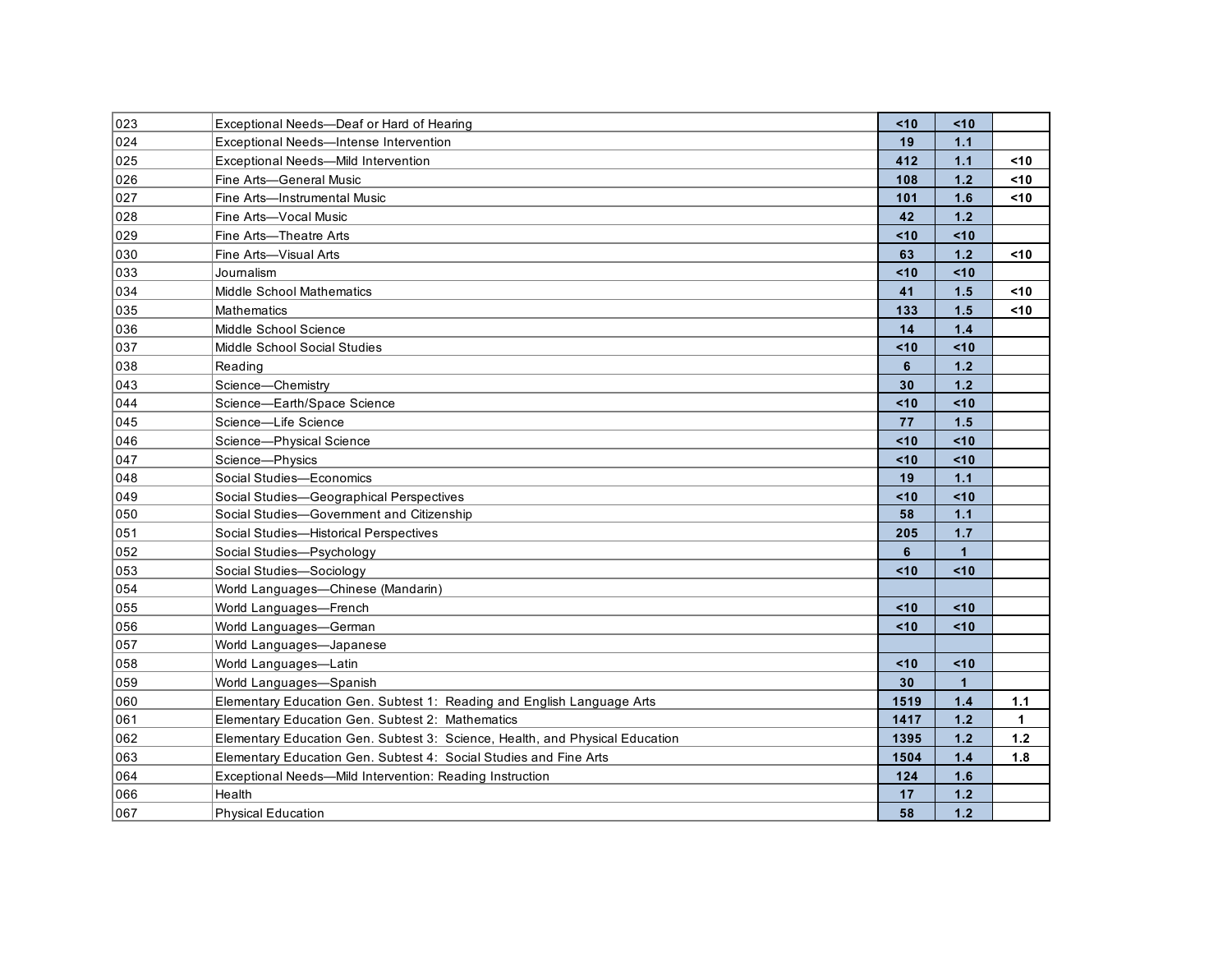| 023 | Exceptional Needs-Deaf or Hard of Hearing                                    | $10$ | <10             |        |
|-----|------------------------------------------------------------------------------|------|-----------------|--------|
| 024 | Exceptional Needs-Intense Intervention                                       | 19   | $1.1$           |        |
| 025 | Exceptional Needs-Mild Intervention                                          | 412  | 1.1             | $10$   |
| 026 | Fine Arts-General Music                                                      | 108  | 1.2             | $10$   |
| 027 | Fine Arts-Instrumental Music                                                 | 101  | 1.6             | $<$ 10 |
| 028 | Fine Arts-Vocal Music                                                        | 42   | 1.2             |        |
| 029 | Fine Arts-Theatre Arts                                                       | $10$ | 10<             |        |
| 030 | Fine Arts-Visual Arts                                                        | 63   | 1.2             | $10$   |
| 033 | Journalism                                                                   | $10$ | <10             |        |
| 034 | <b>Middle School Mathematics</b>                                             | 41   | 1.5             | $10$   |
| 035 | <b>Mathematics</b>                                                           | 133  | 1.5             | $10$   |
| 036 | Middle School Science                                                        | 14   | 1.4             |        |
| 037 | Middle School Social Studies                                                 | $10$ | < 10            |        |
| 038 | Reading                                                                      | 6    | 1.2             |        |
| 043 | Science-Chemistry                                                            | 30   | 1.2             |        |
| 044 | Science-Earth/Space Science                                                  | < 10 | <10             |        |
| 045 | Science-Life Science                                                         | 77   | 1.5             |        |
| 046 | Science-Physical Science                                                     | < 10 | < 10            |        |
| 047 | Science-Physics                                                              | < 10 | < 10            |        |
| 048 | Social Studies-Economics                                                     | 19   | 1.1             |        |
| 049 | Social Studies-Geographical Perspectives                                     | $10$ | < 10            |        |
| 050 | Social Studies-Government and Citizenship                                    | 58   | 1.1             |        |
| 051 | Social Studies-Historical Perspectives                                       | 205  | 1.7             |        |
| 052 | Social Studies-Psychology                                                    | 6    | $\mathbf{1}$    |        |
| 053 | Social Studies-Sociology                                                     | < 10 | < 10            |        |
| 054 | World Languages-Chinese (Mandarin)                                           |      |                 |        |
| 055 | World Languages-French                                                       | < 10 | < 10            |        |
| 056 | World Languages-German                                                       | $10$ | 10 <sup>2</sup> |        |
| 057 | World Languages—Japanese                                                     |      |                 |        |
| 058 | World Languages-Latin                                                        | < 10 | 10 <sup>2</sup> |        |
| 059 | World Languages-Spanish                                                      | 30   | $\mathbf 1$     |        |
| 060 | Elementary Education Gen. Subtest 1: Reading and English Language Arts       | 1519 | 1.4             | 1.1    |
| 061 | Elementary Education Gen. Subtest 2: Mathematics                             | 1417 | 1.2             | 1      |
| 062 | Elementary Education Gen. Subtest 3: Science, Health, and Physical Education | 1395 | 1.2             | 1.2    |
| 063 | Elementary Education Gen. Subtest 4: Social Studies and Fine Arts            | 1504 | 1.4             | 1.8    |
| 064 | Exceptional Needs—Mild Intervention: Reading Instruction                     | 124  | 1.6             |        |
| 066 | Health                                                                       | 17   | 1.2             |        |
| 067 | <b>Physical Education</b>                                                    | 58   | 1.2             |        |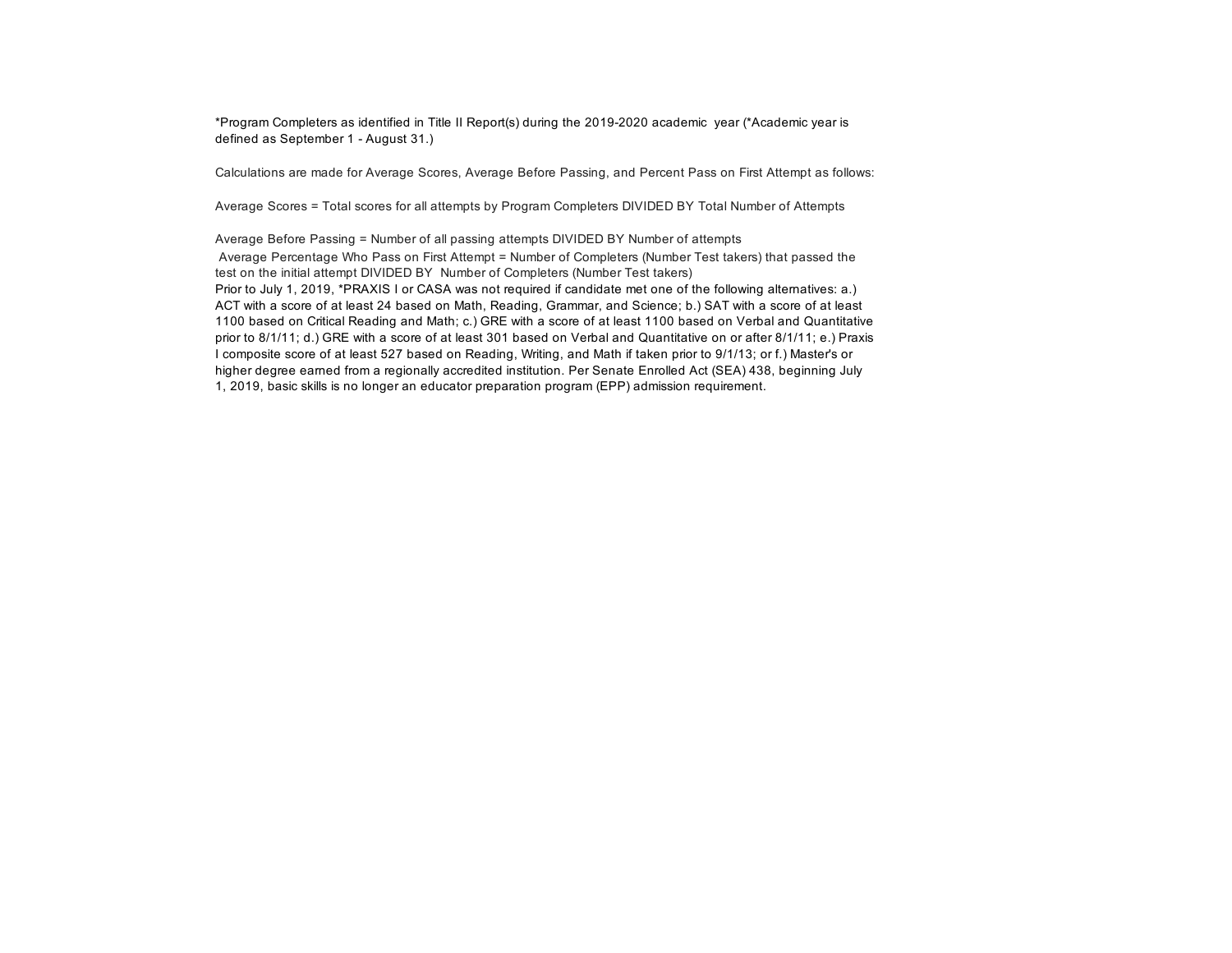\*Program Completers as identified in Title II Report(s) during the 2019-2020 academic year (\*Academic year is defined as September 1 - August 31.)

Calculations are made for Average Scores, Average Before Passing, and Percent Pass on First Attempt as follows:

Average Scores = Total scores for all attempts by Program Completers DIVIDED BY Total Number of Attempts

Average Before Passing = Number of all passing attempts DIVIDED BY Number of attempts Average Percentage Who Pass on First Attempt = Number of Completers (Number Test takers) that passed the test on the initial attempt DIVIDED BY Number of Completers (Number Test takers) Prior to July 1, 2019, \*PRAXIS I or CASA was not required if candidate met one of the following alternatives: a.) ACT with a score of at least 24 based on Math, Reading, Grammar, and Science; b.) SAT with a score of at least 1100 based on Critical Reading and Math; c.) GRE with a score of at least 1100 based on Verbal and Quantitative prior to 8/1/11; d.) GRE with a score of at least 301 based on Verbal and Quantitative on or after 8/1/11; e.) Praxis I composite score of at least 527 based on Reading, Writing, and Math if taken prior to 9/1/13; or f.) Master's or higher degree earned from a regionally accredited institution. Per Senate Enrolled Act (SEA) 438, beginning July 1, 2019, basic skills is no longer an educator preparation program (EPP) admission requirement.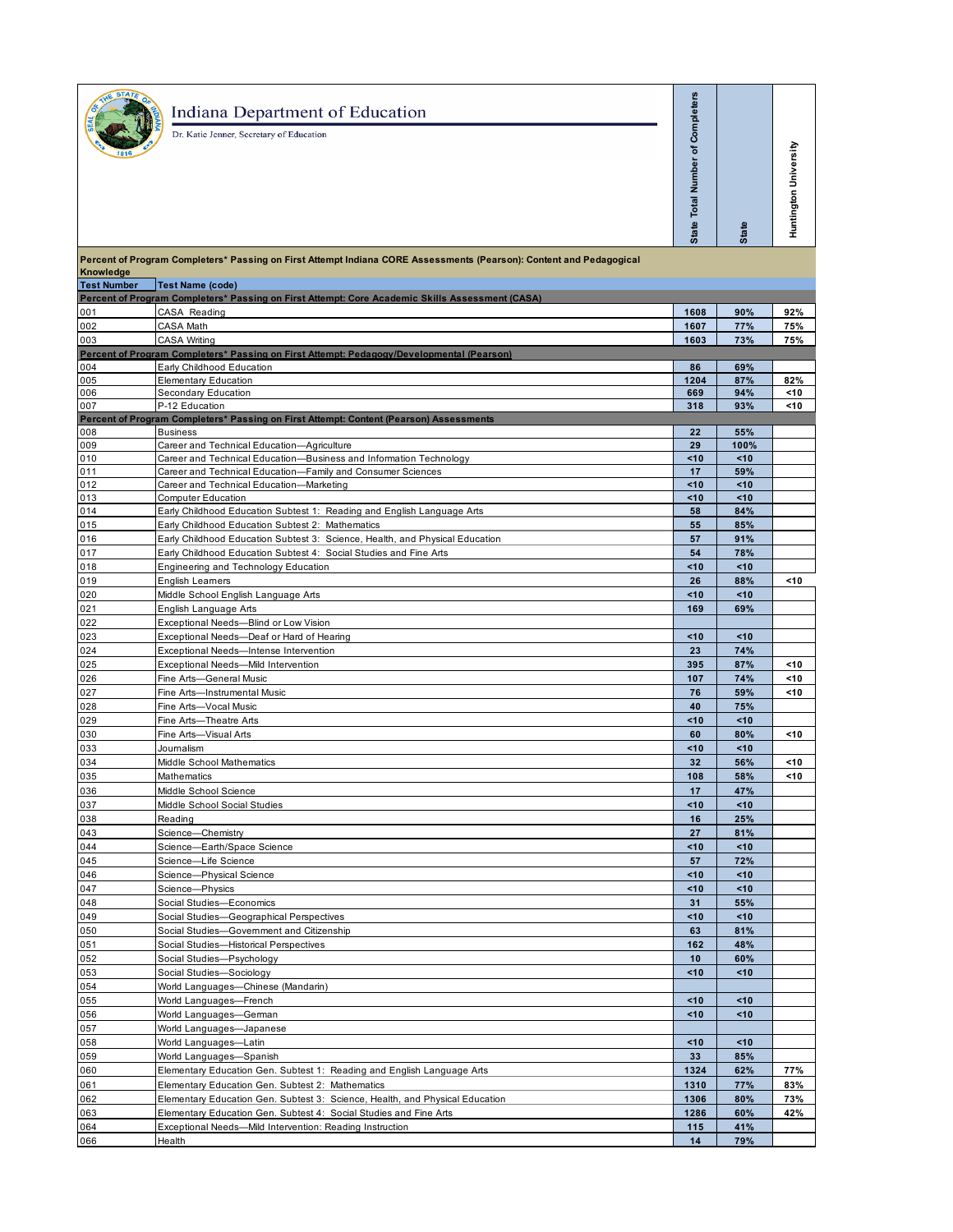|                                 | <b>Indiana Department of Education</b><br>Dr. Katie Jenner, Secretary of Education                                                                | State Total Number of Completers | <b>State</b> | Huntington University |
|---------------------------------|---------------------------------------------------------------------------------------------------------------------------------------------------|----------------------------------|--------------|-----------------------|
|                                 | Percent of Program Completers* Passing on First Attempt Indiana CORE Assessments (Pearson): Content and Pedagogical                               |                                  |              |                       |
| Knowledge<br><b>Test Number</b> | Test Name (code)                                                                                                                                  |                                  |              |                       |
|                                 | Percent of Program Completers* Passing on First Attempt: Core Academic Skills Assessment (CASA)                                                   |                                  |              |                       |
| 001                             | CASA Reading                                                                                                                                      | 1608                             | 90%          | 92%                   |
| 002<br>003                      | CASA Math<br><b>CASA Writing</b>                                                                                                                  | 1607<br>1603                     | 77%<br>73%   | 75%<br>75%            |
|                                 | Percent of Program Completers* Passing on First Attempt: Pedagogy/Developmental (Pearson)                                                         |                                  |              |                       |
| 004                             | Early Childhood Education                                                                                                                         | 86                               | 69%          |                       |
| 005                             | <b>Elementary Education</b>                                                                                                                       | 1204                             | 87%          | 82%                   |
| 006<br>007                      | Secondary Education<br>P-12 Education                                                                                                             | 669<br>318                       | 94%<br>93%   | <10<br><10            |
|                                 | Percent of Program Completers* Passing on First Attempt: Content (Pearson) Assessments                                                            |                                  |              |                       |
| 008                             | <b>Business</b>                                                                                                                                   | 22                               | 55%          |                       |
| 009                             | Career and Technical Education-Agriculture                                                                                                        | 29                               | 100%         |                       |
| 010<br>011                      | Career and Technical Education-Business and Information Technology<br>Career and Technical Education-Family and Consumer Sciences                 | <10<br>17                        | <10<br>59%   |                       |
| 012                             | Career and Technical Education-Marketing                                                                                                          | <10                              | <10          |                       |
| 013                             | <b>Computer Education</b>                                                                                                                         | <10                              | <10          |                       |
| 014                             | Early Childhood Education Subtest 1: Reading and English Language Arts                                                                            | 58                               | 84%          |                       |
| 015                             | Early Childhood Education Subtest 2: Mathematics                                                                                                  | 55                               | 85%          |                       |
| 016<br>017                      | Early Childhood Education Subtest 3: Science, Health, and Physical Education<br>Early Childhood Education Subtest 4: Social Studies and Fine Arts | 57<br>54                         | 91%<br>78%   |                       |
| 018                             | Engineering and Technology Education                                                                                                              | <10                              | <10          |                       |
| 019                             | English Leamers                                                                                                                                   | 26                               | 88%          | <10                   |
| 020                             | Middle School English Language Arts                                                                                                               | <10                              | <10          |                       |
| 021                             | English Language Arts                                                                                                                             | 169                              | 69%          |                       |
| 022                             | Exceptional Needs-Blind or Low Vision                                                                                                             |                                  |              |                       |
| 023<br>024                      | Exceptional Needs-Deaf or Hard of Hearing<br>Exceptional Needs-Intense Intervention                                                               | <10<br>23                        | <10<br>74%   |                       |
| 025                             | Exceptional Needs-Mild Intervention                                                                                                               | 395                              | 87%          | <10                   |
| 026                             | Fine Arts-General Music                                                                                                                           | 107                              | 74%          | <10                   |
| 027                             | Fine Arts-Instrumental Music                                                                                                                      | 76                               | 59%          | <10                   |
| 028                             | Fine Arts-Vocal Music                                                                                                                             | 40                               | 75%          |                       |
| 029                             | Fine Arts-Theatre Arts                                                                                                                            | <10                              | <10          |                       |
| 030<br>033                      | Fine Arts-Visual Arts<br>Journalism                                                                                                               | 60<br><10                        | 80%<br><10   | <10                   |
| 034                             | Middle School Mathematics                                                                                                                         | 32                               | 56%          | <10                   |
| 035                             | <b>Mathematics</b>                                                                                                                                | 108                              | 58%          | <10                   |
| 036                             | Middle School Science                                                                                                                             | 17                               | 47%          |                       |
| 037                             | Middle School Social Studies                                                                                                                      | <10                              | <10          |                       |
| 038                             | Reading<br>Science-Chemistry                                                                                                                      | 16                               | 25%          |                       |
| 043<br>044                      | Science-Earth/Space Science                                                                                                                       | 27<br><10                        | 81%<br><10   |                       |
| 045                             | Science-Life Science                                                                                                                              | 57                               | 72%          |                       |
| 046                             | Science-Physical Science                                                                                                                          | <10                              | <10          |                       |
| 047                             | Science-Physics                                                                                                                                   | <10                              | <10          |                       |
| 048                             | Social Studies-Economics                                                                                                                          | 31                               | 55%          |                       |
| 049<br>050                      | Social Studies-Geographical Perspectives<br>Social Studies-Government and Citizenship                                                             | <10<br>63                        | <10<br>81%   |                       |
| 051                             | Social Studies-Historical Perspectives                                                                                                            | 162                              | 48%          |                       |
| 052                             | Social Studies-Psychology                                                                                                                         | 10                               | 60%          |                       |
| 053                             | Social Studies-Sociology                                                                                                                          | <10                              | <10          |                       |
| 054                             | World Languages-Chinese (Mandarin)                                                                                                                |                                  |              |                       |
| 055                             | World Languages-French                                                                                                                            | 10<                              | <10          |                       |
| 056<br>057                      | World Languages-German<br>World Languages-Japanese                                                                                                | <10                              | <10          |                       |
| 058                             | World Languages-Latin                                                                                                                             | <10                              | <10          |                       |
| 059                             | World Languages-Spanish                                                                                                                           | 33                               | 85%          |                       |
| 060                             | Elementary Education Gen. Subtest 1: Reading and English Language Arts                                                                            | 1324                             | 62%          | 77%                   |
| 061                             | Elementary Education Gen. Subtest 2: Mathematics                                                                                                  | 1310                             | 77%          | 83%                   |
| 062                             | Elementary Education Gen. Subtest 3: Science, Health, and Physical Education                                                                      | 1306                             | 80%          | 73%                   |
| 063<br>064                      | Elementary Education Gen. Subtest 4: Social Studies and Fine Arts<br>Exceptional Needs-Mild Intervention: Reading Instruction                     | 1286<br>115                      | 60%<br>41%   | 42%                   |
|                                 |                                                                                                                                                   |                                  |              |                       |

Health **14 79%**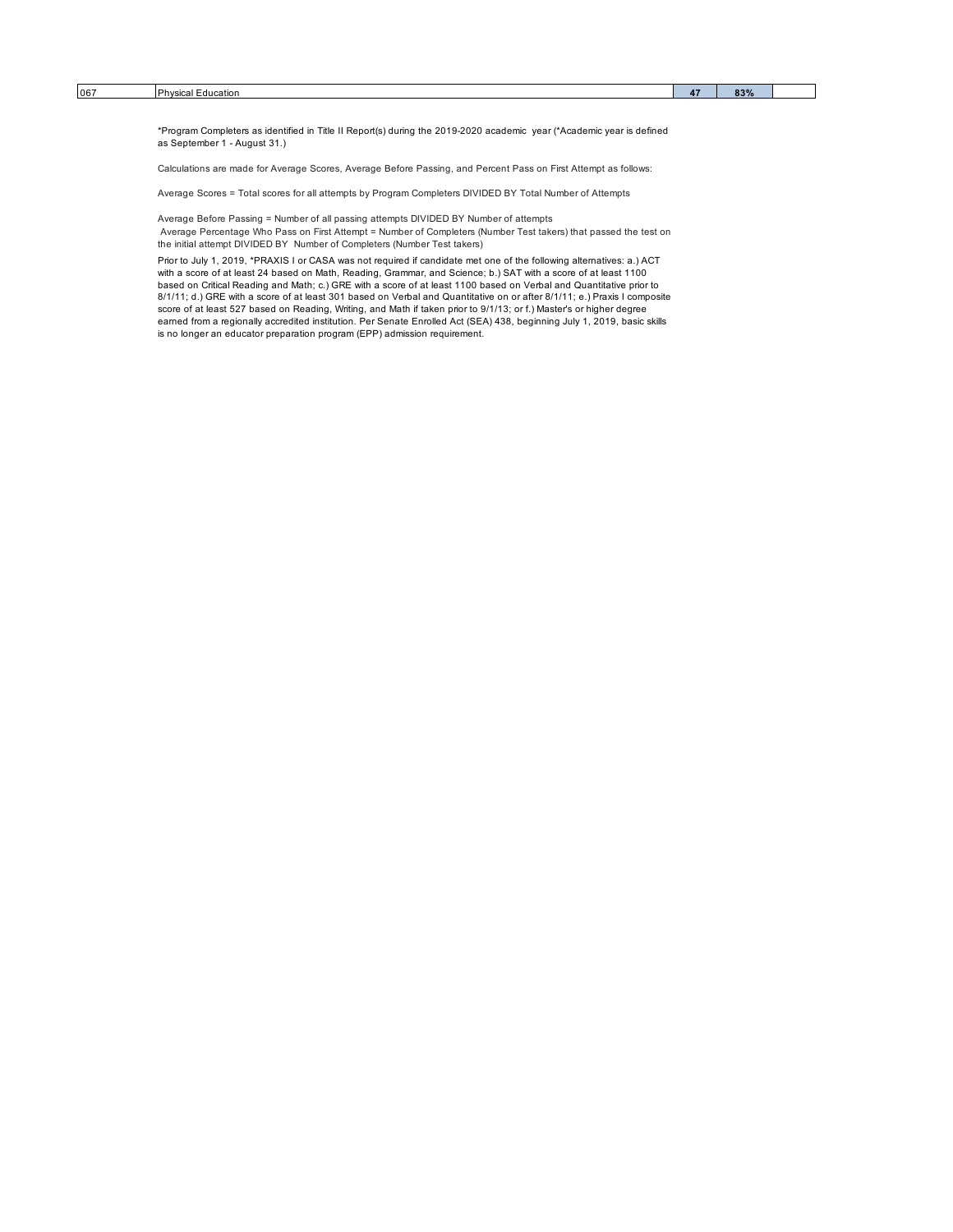\*Program Completers as identified in Title II Report(s) during the 2019-2020 academic year (\*Academic year is defined as September 1 - August 31.)

Calculations are made for Average Scores, Average Before Passing, and Percent Pass on First Attempt as follows:

Average Scores = Total scores for all attempts by Program Completers DIVIDED BY Total Number of Attempts

Average Before Passing = Number of all passing attempts DIVIDED BY Number of attempts

Average Percentage Who Pass on First Attempt = Number of Completers (Number Test takers) that passed the test on the initial attempt DIVIDED BY Number of Completers (Number Test takers)

Prior to July 1, 2019, \*PRAXIS I or CASA was not required if candidate met one of the following alternatives: a.) ACT with a score of at least 24 based on Math, Reading, Grammar, and Science; b.) SAT with a score of at least 1100<br>based on Critical Reading and Math; c.) GRE with a score of at least 1100 based on Verbal and Quantitative pri 8/1/11; d.) GRE with a score of at least 301 based on Verbal and Quantitative on or after 8/1/11; e.) Praxis I composite<br>score of at least 527 based on Reading, Writing, and Math if taken prior to 9/1/13; or f.) Master's o is no longer an educator preparation program (EPP) admission requirement.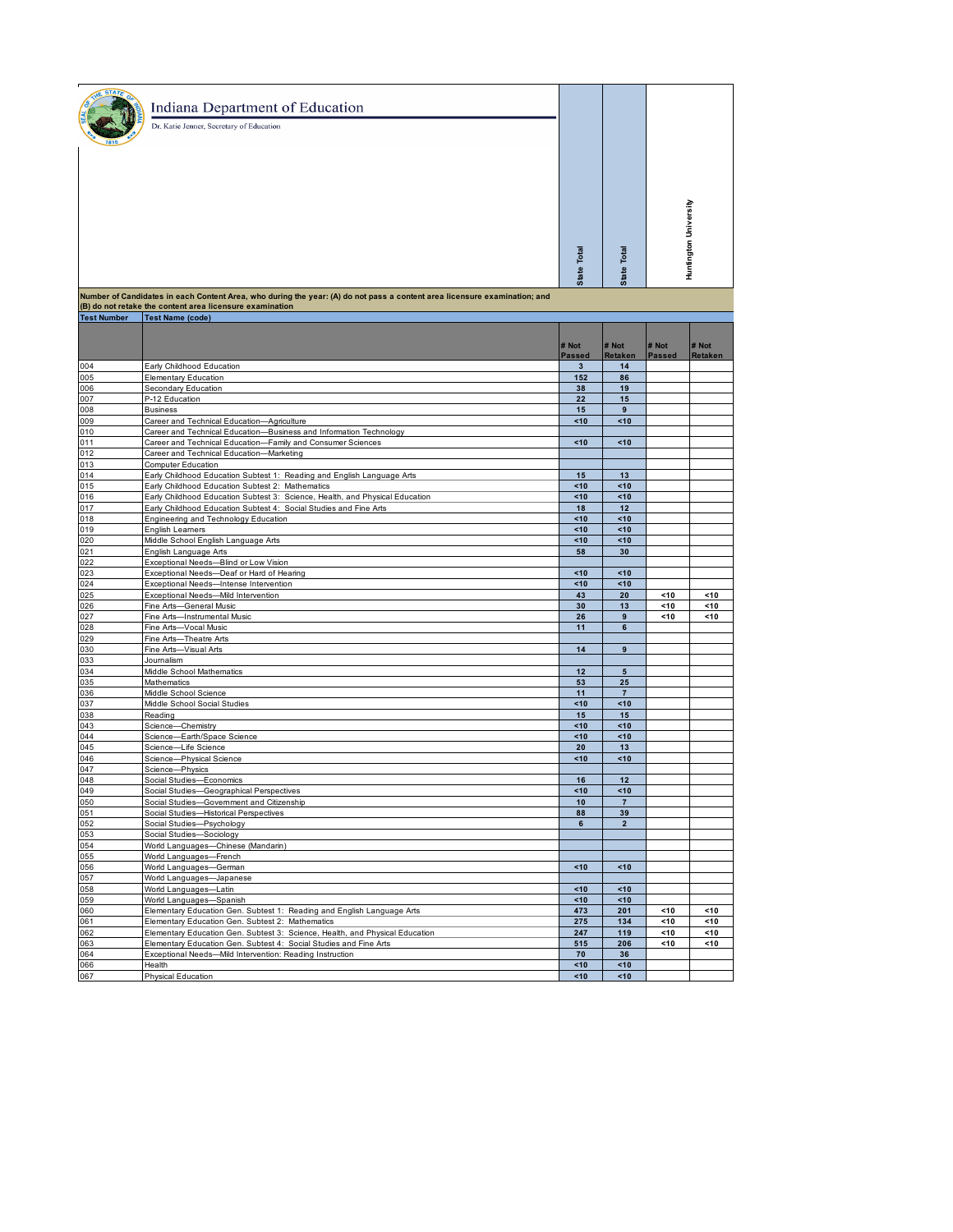| Indiana Department of Education<br>Dr. Katie Jenner, Secretary of Education |                       |                |                  |
|-----------------------------------------------------------------------------|-----------------------|----------------|------------------|
|                                                                             |                       |                |                  |
|                                                                             | Total<br><b>State</b> | Total<br>State | ting<br><b>T</b> |

| <b>Test Number</b> | <b>Test Name (code)</b>                                                                                                           |          |                 |               |         |  |  |
|--------------------|-----------------------------------------------------------------------------------------------------------------------------------|----------|-----------------|---------------|---------|--|--|
|                    |                                                                                                                                   | # Not    | # Not           | # Not         | # Not   |  |  |
|                    |                                                                                                                                   | Passed   | <b>Retaken</b>  | <b>Passed</b> | Retaken |  |  |
| 004<br>005         | Early Childhood Education<br><b>Elementary Education</b>                                                                          | 3<br>152 | 14<br>86        |               |         |  |  |
| 006                | Secondary Education                                                                                                               | 38       | 19              |               |         |  |  |
| 007                | P-12 Education                                                                                                                    | 22       | 15              |               |         |  |  |
| 008                | <b>Business</b>                                                                                                                   | 15       | 9               |               |         |  |  |
| 009                |                                                                                                                                   | <10      | <10             |               |         |  |  |
|                    | Career and Technical Education-Agriculture                                                                                        |          |                 |               |         |  |  |
| 010<br>011         | Career and Technical Education-Business and Information Technology<br>Career and Technical Education-Family and Consumer Sciences | <10      | <10             |               |         |  |  |
| 012                | Career and Technical Education-Marketing                                                                                          |          |                 |               |         |  |  |
| 013                | Computer Education                                                                                                                |          |                 |               |         |  |  |
| 014                | Early Childhood Education Subtest 1: Reading and English Language Arts                                                            | 15       | 13              |               |         |  |  |
| 015                | Early Childhood Education Subtest 2: Mathematics                                                                                  | <10      | <10             |               |         |  |  |
| 016                | Early Childhood Education Subtest 3: Science, Health, and Physical Education                                                      | <10      | <10             |               |         |  |  |
| 017                | Early Childhood Education Subtest 4: Social Studies and Fine Arts                                                                 | 18       | 12              |               |         |  |  |
| 018                | Engineering and Technology Education                                                                                              | <10      | <10             |               |         |  |  |
| 019                | English Leamers                                                                                                                   | <10      | 10 <sup>2</sup> |               |         |  |  |
| 020                | Middle School English Language Arts                                                                                               | <10      | <10             |               |         |  |  |
| 021                | English Language Arts                                                                                                             | 58       | 30              |               |         |  |  |
| 022                | Exceptional Needs-Blind or Low Vision                                                                                             |          |                 |               |         |  |  |
| 023                | Exceptional Needs-Deaf or Hard of Hearing                                                                                         | <10      | <10             |               |         |  |  |
| 024                | Exceptional Needs-Intense Intervention                                                                                            | <10      | <10             |               |         |  |  |
| 025                | Exceptional Needs-Mild Intervention                                                                                               | 43       | 20              | < 10          | <10     |  |  |
| 026                | Fine Arts-General Music                                                                                                           | 30       | 13              | <10           | <10     |  |  |
| 027                | Fine Arts-Instrumental Music                                                                                                      | 26       | 9               | <10           | <10     |  |  |
| 028                | Fine Arts-Vocal Music                                                                                                             | 11       | 6               |               |         |  |  |
| 029                | Fine Arts-Theatre Arts                                                                                                            |          |                 |               |         |  |  |
| 030                | Fine Arts-Visual Arts                                                                                                             | 14       | $\pmb{9}$       |               |         |  |  |
| 033                | Journalism                                                                                                                        |          |                 |               |         |  |  |
| 034                | Middle School Mathematics                                                                                                         | 12       | $5\phantom{1}$  |               |         |  |  |
| 035                | Mathematics                                                                                                                       | 53       | 25              |               |         |  |  |
| 036                | Middle School Science                                                                                                             | 11       | $\overline{7}$  |               |         |  |  |
| 037                | Middle School Social Studies                                                                                                      | <10      | <10             |               |         |  |  |
| 038                | Reading                                                                                                                           | 15       | 15              |               |         |  |  |
| 043                | Science-Chemistry                                                                                                                 | <10      | <10             |               |         |  |  |
| 044                | Science-Earth/Space Science                                                                                                       | <10      | <10             |               |         |  |  |
| 045                | Science-Life Science                                                                                                              | 20       | 13              |               |         |  |  |
| 046                | Science-Physical Science                                                                                                          | <10      | <10             |               |         |  |  |
| 047                | Science-Physics                                                                                                                   |          |                 |               |         |  |  |
| 048                | Social Studies-Economics                                                                                                          | 16       | 12              |               |         |  |  |
| 049                | Social Studies-Geographical Perspectives                                                                                          | <10      | <10             |               |         |  |  |
| 050                | Social Studies-Government and Citizenship                                                                                         | 10       | $\overline{7}$  |               |         |  |  |
| 051                | Social Studies-Historical Perspectives                                                                                            | 88       | 39              |               |         |  |  |
| 052                | Social Studies-Psychology                                                                                                         | 6        | $\overline{2}$  |               |         |  |  |
| 053                | Social Studies-Sociology                                                                                                          |          |                 |               |         |  |  |
| 054                | World Languages-Chinese (Mandarin)                                                                                                |          |                 |               |         |  |  |
| 055                | World Languages-French                                                                                                            |          |                 |               |         |  |  |
| 056                | World Languages-German                                                                                                            | <10      | <10             |               |         |  |  |
| 057                | World Languages-Japanese                                                                                                          |          |                 |               |         |  |  |
| 058                | World Languages-Latin                                                                                                             | <10      | <10             |               |         |  |  |
| 059                | World Languages-Spanish                                                                                                           | <10      | <10             |               |         |  |  |
| 060                | Elementary Education Gen. Subtest 1: Reading and English Language Arts                                                            | 473      | 201             | <10           | <10     |  |  |
| 061                | Elementary Education Gen. Subtest 2: Mathematics                                                                                  | 275      | 134             | <10           | <10     |  |  |
| 062                | Elementary Education Gen. Subtest 3: Science, Health, and Physical Education                                                      | 247      | 119             | <10           | < 10    |  |  |
| 063                | Elementary Education Gen. Subtest 4: Social Studies and Fine Arts                                                                 | 515      | 206             | <10           | <10     |  |  |
| 064                | Exceptional Needs-Mild Intervention: Reading Instruction                                                                          | 70       | 36              |               |         |  |  |
| 066                | Health                                                                                                                            | <10      | <10             |               |         |  |  |
| 067                | Physical Education                                                                                                                | <10      | <10             |               |         |  |  |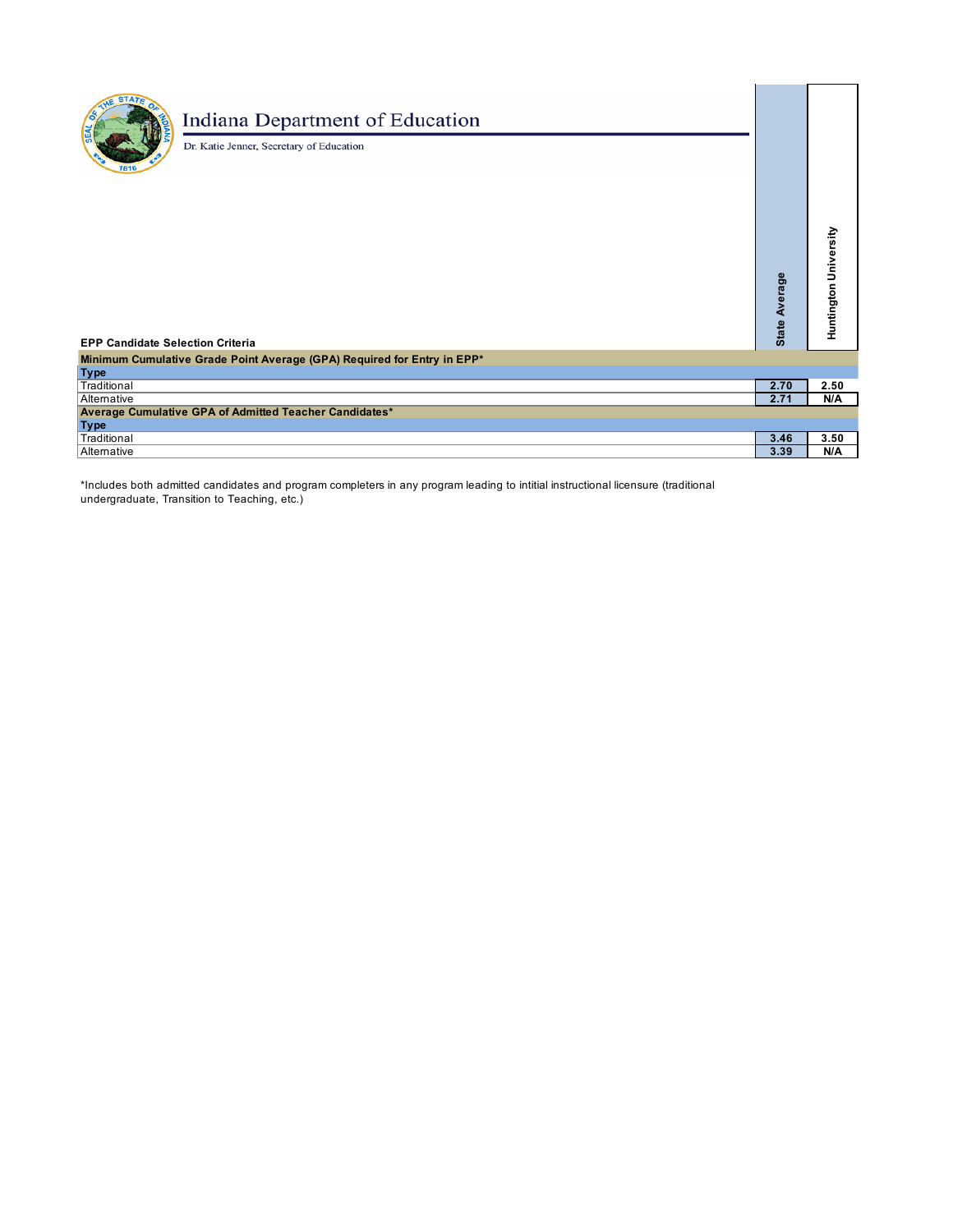## Indiana Department of Education

Dr. Katie Jenner, Secretary of Education

| <b>EPP Candidate Selection Criteria</b>                                 | age<br>∢<br><b>State</b> | Huntington University |
|-------------------------------------------------------------------------|--------------------------|-----------------------|
| Minimum Cumulative Grade Point Average (GPA) Required for Entry in EPP* |                          |                       |
| <b>Type</b>                                                             |                          |                       |
| Traditional                                                             | 2.70                     | 2.50                  |
| Alternative                                                             | 2.71                     | N/A                   |
| Average Cumulative GPA of Admitted Teacher Candidates*                  |                          |                       |
| <b>Type</b>                                                             |                          |                       |
| Traditional                                                             | 3.46                     | 3.50                  |
| Alternative                                                             | 3.39                     | N/A                   |

\*Includes both admitted candidates and program completers in any program leading to intitial instructional licensure (traditional undergraduate, Transition to Teaching, etc.)